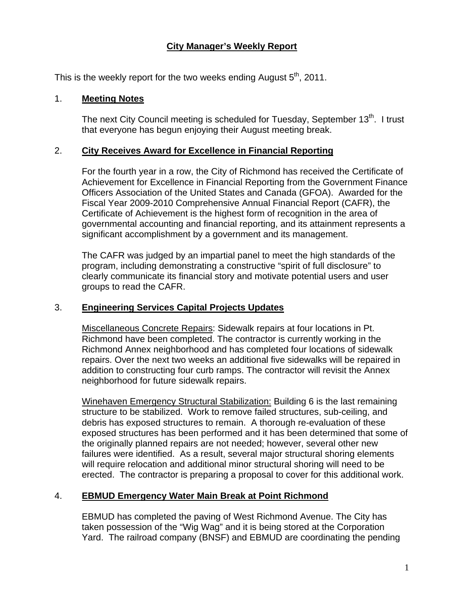# **City Manager's Weekly Report**

This is the weekly report for the two weeks ending August  $5<sup>th</sup>$ , 2011.

#### 1. **Meeting Notes**

The next City Council meeting is scheduled for Tuesday, September 13<sup>th</sup>. I trust that everyone has begun enjoying their August meeting break.

#### 2. **City Receives Award for Excellence in Financial Reporting**

For the fourth year in a row, the City of Richmond has received the Certificate of Achievement for Excellence in Financial Reporting from the Government Finance Officers Association of the United States and Canada (GFOA). Awarded for the Fiscal Year 2009-2010 Comprehensive Annual Financial Report (CAFR), the Certificate of Achievement is the highest form of recognition in the area of governmental accounting and financial reporting, and its attainment represents a significant accomplishment by a government and its management.

The CAFR was judged by an impartial panel to meet the high standards of the program, including demonstrating a constructive "spirit of full disclosure" to clearly communicate its financial story and motivate potential users and user groups to read the CAFR.

## 3. **Engineering Services Capital Projects Updates**

Miscellaneous Concrete Repairs: Sidewalk repairs at four locations in Pt. Richmond have been completed. The contractor is currently working in the Richmond Annex neighborhood and has completed four locations of sidewalk repairs. Over the next two weeks an additional five sidewalks will be repaired in addition to constructing four curb ramps. The contractor will revisit the Annex neighborhood for future sidewalk repairs.

Winehaven Emergency Structural Stabilization: Building 6 is the last remaining structure to be stabilized. Work to remove failed structures, sub-ceiling, and debris has exposed structures to remain. A thorough re-evaluation of these exposed structures has been performed and it has been determined that some of the originally planned repairs are not needed; however, several other new failures were identified. As a result, several major structural shoring elements will require relocation and additional minor structural shoring will need to be erected. The contractor is preparing a proposal to cover for this additional work.

## 4. **EBMUD Emergency Water Main Break at Point Richmond**

EBMUD has completed the paving of West Richmond Avenue. The City has taken possession of the "Wig Wag" and it is being stored at the Corporation Yard. The railroad company (BNSF) and EBMUD are coordinating the pending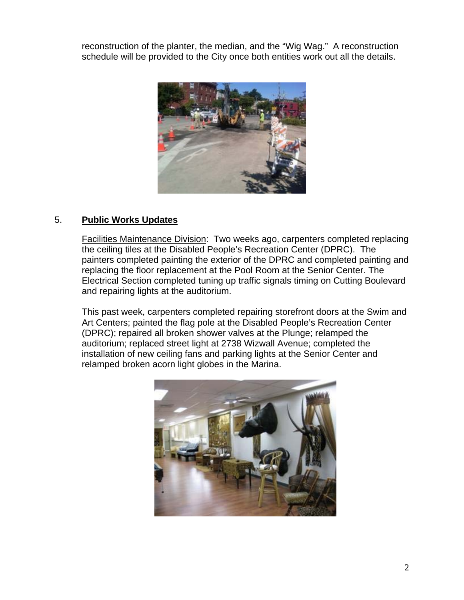reconstruction of the planter, the median, and the "Wig Wag." A reconstruction schedule will be provided to the City once both entities work out all the details.



## 5. **Public Works Updates**

Facilities Maintenance Division: Two weeks ago, carpenters completed replacing the ceiling tiles at the Disabled People's Recreation Center (DPRC). The painters completed painting the exterior of the DPRC and completed painting and replacing the floor replacement at the Pool Room at the Senior Center. The Electrical Section completed tuning up traffic signals timing on Cutting Boulevard and repairing lights at the auditorium.

This past week, carpenters completed repairing storefront doors at the Swim and Art Centers; painted the flag pole at the Disabled People's Recreation Center (DPRC); repaired all broken shower valves at the Plunge; relamped the auditorium; replaced street light at 2738 Wizwall Avenue; completed the installation of new ceiling fans and parking lights at the Senior Center and relamped broken acorn light globes in the Marina.

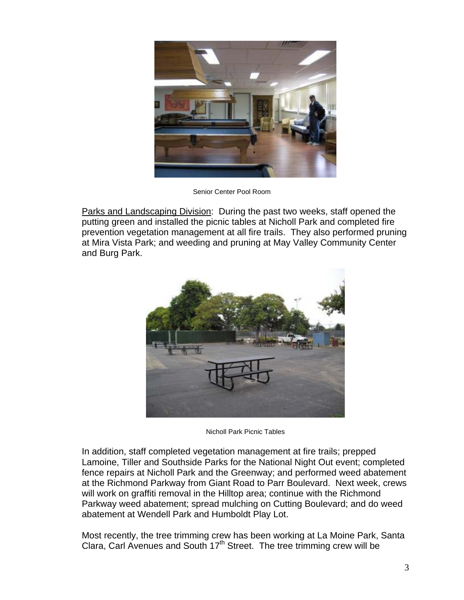

Senior Center Pool Room

Parks and Landscaping Division: During the past two weeks, staff opened the putting green and installed the picnic tables at Nicholl Park and completed fire prevention vegetation management at all fire trails. They also performed pruning at Mira Vista Park; and weeding and pruning at May Valley Community Center and Burg Park.



Nicholl Park Picnic Tables

In addition, staff completed vegetation management at fire trails; prepped Lamoine, Tiller and Southside Parks for the National Night Out event; completed fence repairs at Nicholl Park and the Greenway; and performed weed abatement at the Richmond Parkway from Giant Road to Parr Boulevard. Next week, crews will work on graffiti removal in the Hilltop area; continue with the Richmond Parkway weed abatement; spread mulching on Cutting Boulevard; and do weed abatement at Wendell Park and Humboldt Play Lot.

Most recently, the tree trimming crew has been working at La Moine Park, Santa Clara, Carl Avenues and South 17<sup>th</sup> Street. The tree trimming crew will be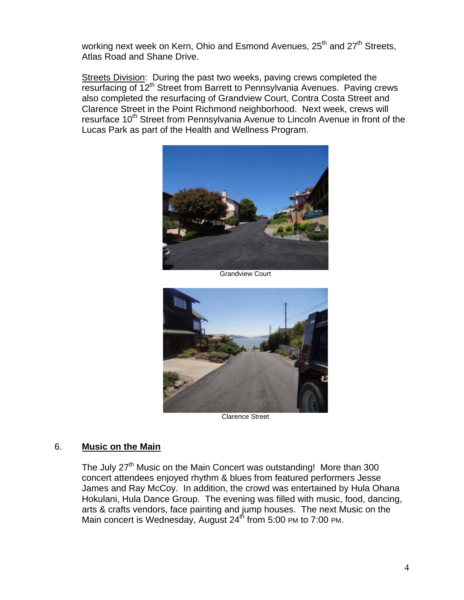working next week on Kern, Ohio and Esmond Avenues, 25<sup>th</sup> and 27<sup>th</sup> Streets, Atlas Road and Shane Drive.

Streets Division: During the past two weeks, paving crews completed the resurfacing of 12<sup>th</sup> Street from Barrett to Pennsylvania Avenues. Paving crews also completed the resurfacing of Grandview Court, Contra Costa Street and Clarence Street in the Point Richmond neighborhood. Next week, crews will resurface 10<sup>th</sup> Street from Pennsylvania Avenue to Lincoln Avenue in front of the Lucas Park as part of the Health and Wellness Program.



Grandview Court



Clarence Street

#### 6. **Music on the Main**

The July 27<sup>th</sup> Music on the Main Concert was outstanding! More than 300 concert attendees enjoyed rhythm & blues from featured performers Jesse James and Ray McCoy. In addition, the crowd was entertained by Hula Ohana Hokulani, Hula Dance Group. The evening was filled with music, food, dancing, arts & crafts vendors, face painting and jump houses. The next Music on the Main concert is Wednesday, August 24<sup>th</sup> from 5:00 PM to 7:00 PM.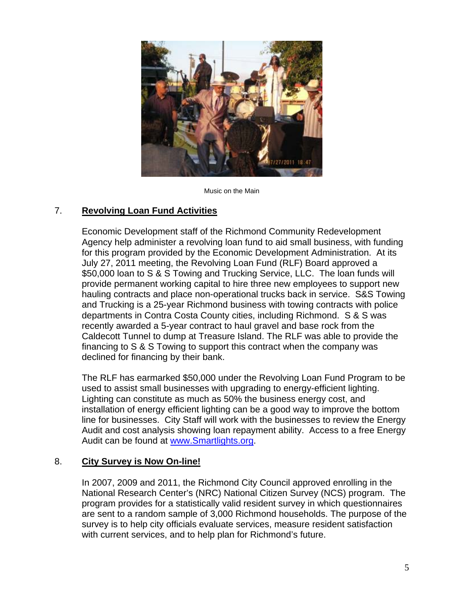

Music on the Main

## 7. **Revolving Loan Fund Activities**

Economic Development staff of the Richmond Community Redevelopment Agency help administer a revolving loan fund to aid small business, with funding for this program provided by the Economic Development Administration. At its July 27, 2011 meeting, the Revolving Loan Fund (RLF) Board approved a \$50,000 loan to S & S Towing and Trucking Service, LLC. The loan funds will provide permanent working capital to hire three new employees to support new hauling contracts and place non-operational trucks back in service. S&S Towing and Trucking is a 25-year Richmond business with towing contracts with police departments in Contra Costa County cities, including Richmond. S & S was recently awarded a 5-year contract to haul gravel and base rock from the Caldecott Tunnel to dump at Treasure Island. The RLF was able to provide the financing to S & S Towing to support this contract when the company was declined for financing by their bank.

The RLF has earmarked \$50,000 under the Revolving Loan Fund Program to be used to assist small businesses with upgrading to energy-efficient lighting. Lighting can constitute as much as 50% the business energy cost, and installation of energy efficient lighting can be a good way to improve the bottom line for businesses. City Staff will work with the businesses to review the Energy Audit and cost analysis showing loan repayment ability. Access to a free Energy Audit can be found at [www.Smartlights.org.](www.Smartlights.org)

## 8. **City Survey is Now On-line!**

In 2007, 2009 and 2011, the Richmond City Council approved enrolling in the National Research Center's (NRC) National Citizen Survey (NCS) program. The program provides for a statistically valid resident survey in which questionnaires are sent to a random sample of 3,000 Richmond households. The purpose of the survey is to help city officials evaluate services, measure resident satisfaction with current services, and to help plan for Richmond's future.